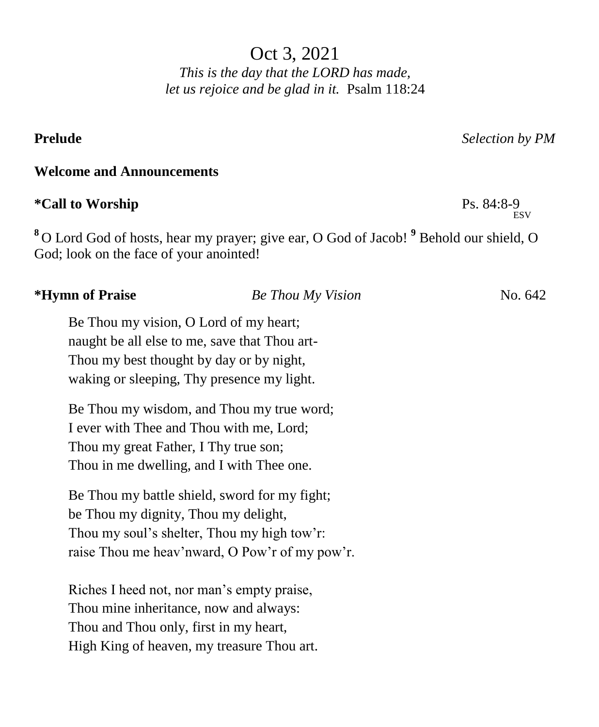Oct 3, 2021

*This is the day that the LORD has made, let us rejoice and be glad in it.* Psalm 118:24

## **Welcome and Announcements**

# **\*Call to Worship** Ps. 84:8-9

**<sup>8</sup>** O Lord God of hosts, hear my prayer; give ear, O God of Jacob! **<sup>9</sup>** Behold our shield, O God; look on the face of your anointed!

# **\*Hymn of Praise** *Be Thou My Vision* No. 642 Be Thou my vision, O Lord of my heart; naught be all else to me, save that Thou art-Thou my best thought by day or by night, waking or sleeping, Thy presence my light. Be Thou my wisdom, and Thou my true word; I ever with Thee and Thou with me, Lord; Thou my great Father, I Thy true son; Thou in me dwelling, and I with Thee one. Be Thou my battle shield, sword for my fight; be Thou my dignity, Thou my delight, Thou my soul's shelter, Thou my high tow'r: raise Thou me heav'nward, O Pow'r of my pow'r. Riches I heed not, nor man's empty praise,

Thou mine inheritance, now and always: Thou and Thou only, first in my heart, High King of heaven, my treasure Thou art.

**Prelude** *Selection by PM*

ESV<sub>R</sub>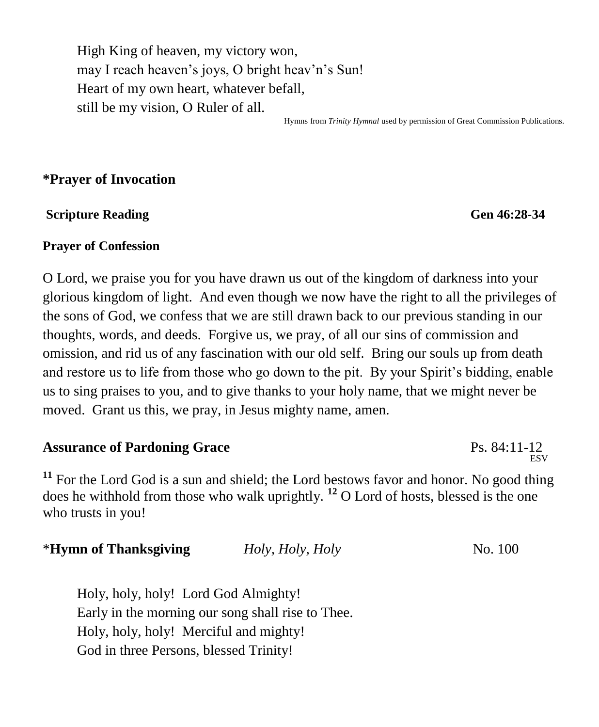High King of heaven, my victory won, may I reach heaven's joys, O bright heav'n's Sun! Heart of my own heart, whatever befall, still be my vision, O Ruler of all.

Hymns from *Trinity Hymnal* used by permission of Great Commission Publications.

### **\*Prayer of Invocation**

#### **Scripture Reading General Contract Scripture Reading General Contract Scripture Reading General Contract Scripture Reading Contract Scripture Reading Contract Scripture Reading Contract Scripture Reading Contract Scriptur**

#### **Prayer of Confession**

O Lord, we praise you for you have drawn us out of the kingdom of darkness into your glorious kingdom of light. And even though we now have the right to all the privileges of the sons of God, we confess that we are still drawn back to our previous standing in our thoughts, words, and deeds. Forgive us, we pray, of all our sins of commission and omission, and rid us of any fascination with our old self. Bring our souls up from death and restore us to life from those who go down to the pit. By your Spirit's bidding, enable us to sing praises to you, and to give thanks to your holy name, that we might never be moved. Grant us this, we pray, in Jesus mighty name, amen.

#### **Assurance of Pardoning Grace** Ps. 84:11-12 ESV<sub>R</sub>

**<sup>11</sup>** For the Lord God is a sun and shield; the Lord bestows favor and honor. No good thing does he withhold from those who walk uprightly. **<sup>12</sup>** O Lord of hosts, blessed is the one who trusts in you!

\***Hymn of Thanksgiving** *Holy, Holy, Holy* No. 100

Holy, holy, holy! Lord God Almighty! Early in the morning our song shall rise to Thee. Holy, holy, holy! Merciful and mighty! God in three Persons, blessed Trinity!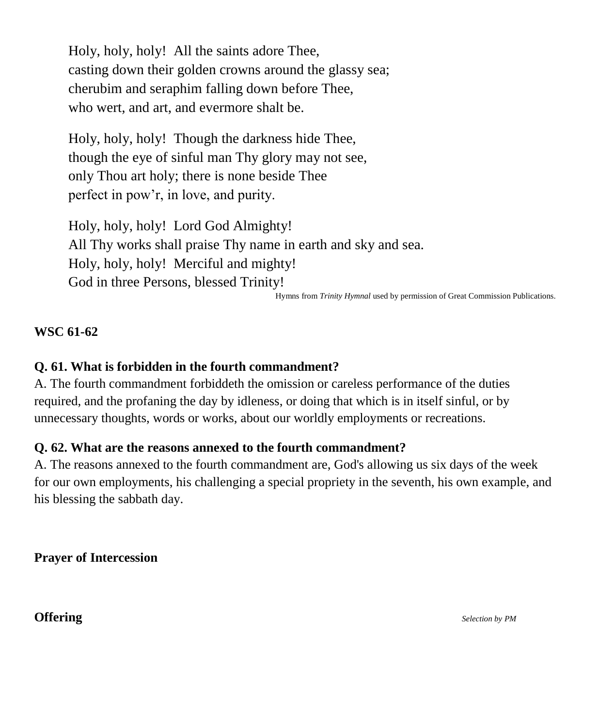Holy, holy, holy! All the saints adore Thee, casting down their golden crowns around the glassy sea; cherubim and seraphim falling down before Thee, who wert, and art, and evermore shalt be.

Holy, holy, holy! Though the darkness hide Thee, though the eye of sinful man Thy glory may not see, only Thou art holy; there is none beside Thee perfect in pow'r, in love, and purity.

Holy, holy, holy! Lord God Almighty! All Thy works shall praise Thy name in earth and sky and sea. Holy, holy, holy! Merciful and mighty! God in three Persons, blessed Trinity!

Hymns from *Trinity Hymnal* used by permission of Great Commission Publications.

### **WSC 61-62**

### **Q. 61. What is forbidden in the fourth commandment?**

A. The fourth commandment forbiddeth the omission or careless performance of the duties required, and the profaning the day by idleness, or doing that which is in itself sinful, or by unnecessary thoughts, words or works, about our worldly employments or recreations.

#### **Q. 62. What are the reasons annexed to the fourth commandment?**

A. The reasons annexed to the fourth commandment are, God's allowing us six days of the week for our own employments, his challenging a special propriety in the seventh, his own example, and his blessing the sabbath day.

**Prayer of Intercession**

#### **Offering** *Selection by PM*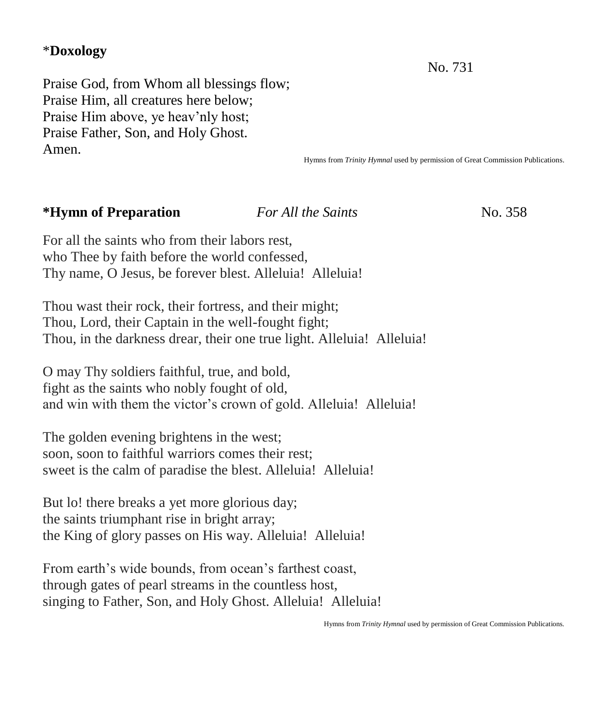# \***Doxology**

No. 731

Praise God, from Whom all blessings flow; Praise Him, all creatures here below; Praise Him above, ye heav'nly host; Praise Father, Son, and Holy Ghost. Amen.

Hymns from *Trinity Hymnal* used by permission of Great Commission Publications.

## **\*Hymn of Preparation** *For All the Saints*No. 358

For all the saints who from their labors rest, who Thee by faith before the world confessed, Thy name, O Jesus, be forever blest. Alleluia! Alleluia!

Thou wast their rock, their fortress, and their might; Thou, Lord, their Captain in the well-fought fight; Thou, in the darkness drear, their one true light. Alleluia! Alleluia!

O may Thy soldiers faithful, true, and bold, fight as the saints who nobly fought of old, and win with them the victor's crown of gold. Alleluia! Alleluia!

The golden evening brightens in the west; soon, soon to faithful warriors comes their rest; sweet is the calm of paradise the blest. Alleluia! Alleluia!

But lo! there breaks a yet more glorious day; the saints triumphant rise in bright array; the King of glory passes on His way. Alleluia! Alleluia!

From earth's wide bounds, from ocean's farthest coast, through gates of pearl streams in the countless host, singing to Father, Son, and Holy Ghost. Alleluia! Alleluia!

Hymns from *Trinity Hymnal* used by permission of Great Commission Publications.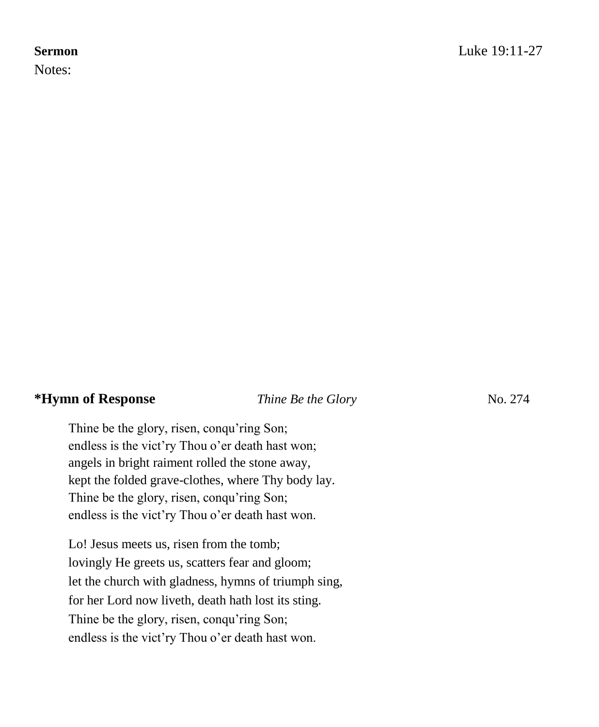Notes:

# **\*Hymn of Response** *Thine Be the Glory* No. 274

Thine be the glory, risen, conqu'ring Son; endless is the vict'ry Thou o'er death hast won; angels in bright raiment rolled the stone away, kept the folded grave-clothes, where Thy body lay. Thine be the glory, risen, conqu'ring Son; endless is the vict'ry Thou o'er death hast won.

Lo! Jesus meets us, risen from the tomb; lovingly He greets us, scatters fear and gloom; let the church with gladness, hymns of triumph sing, for her Lord now liveth, death hath lost its sting. Thine be the glory, risen, conqu'ring Son; endless is the vict'ry Thou o'er death hast won.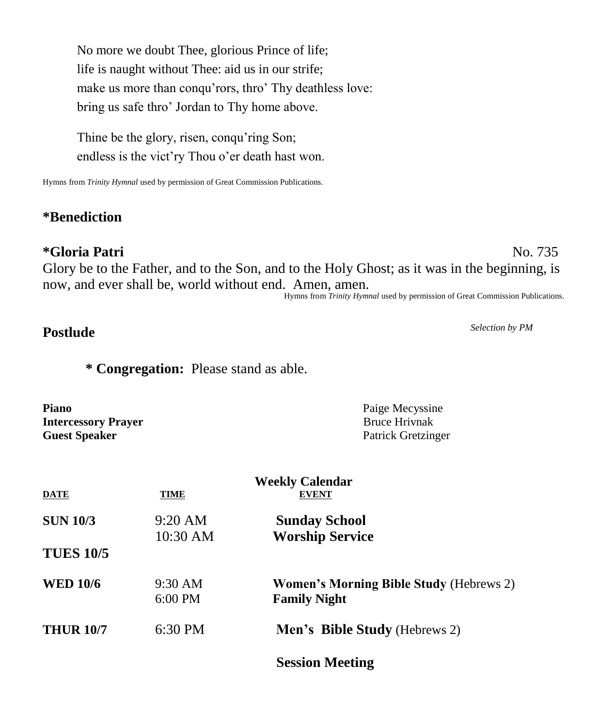No more we doubt Thee, glorious Prince of life; life is naught without Thee: aid us in our strife; make us more than conqu'rors, thro' Thy deathless love: bring us safe thro' Jordan to Thy home above.

Thine be the glory, risen, conqu'ring Son; endless is the vict'ry Thou o'er death hast won.

Hymns from *Trinity Hymnal* used by permission of Great Commission Publications.

# **\*Benediction**

# **\*Gloria Patri** No. 735

Glory be to the Father, and to the Son, and to the Holy Ghost; as it was in the beginning, is now, and ever shall be, world without end. Amen, amen.

#### Hymns from *Trinity Hymnal* used by permission of Great Commission Publications.

# **Postlude** *Selection by PM*

**\* Congregation:** Please stand as able.

| Piano                      | Paige Mecyssine      |
|----------------------------|----------------------|
| <b>Intercessory Prayer</b> | <b>Bruce Hrivnak</b> |
| <b>Guest Speaker</b>       | Patrick Gretzinger   |

| <b>DATE</b>      | <b>TIME</b>       | <b>Weekly Calendar</b><br><b>EVENT</b>         |
|------------------|-------------------|------------------------------------------------|
| <b>SUN 10/3</b>  | $9:20 \text{ AM}$ | <b>Sunday School</b>                           |
|                  | 10:30 AM          | <b>Worship Service</b>                         |
| <b>TUES 10/5</b> |                   |                                                |
| <b>WED 10/6</b>  | $9:30 \text{ AM}$ | <b>Women's Morning Bible Study (Hebrews 2)</b> |
|                  | $6:00$ PM         | <b>Family Night</b>                            |
| <b>THUR 10/7</b> | $6:30$ PM         | <b>Men's Bible Study</b> (Hebrews 2)           |
|                  |                   | <b>Session Meeting</b>                         |